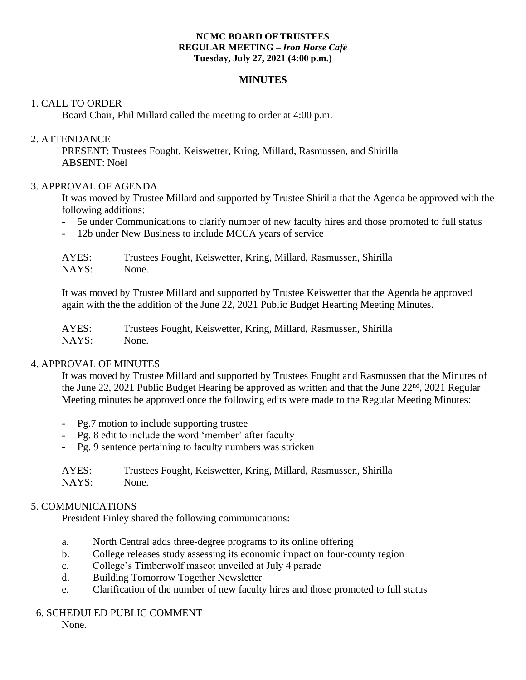#### **NCMC BOARD OF TRUSTEES REGULAR MEETING –** *Iron Horse Café*  **Tuesday, July 27, 2021 (4:00 p.m.)**

## **MINUTES**

## 1. CALL TO ORDER

Board Chair, Phil Millard called the meeting to order at 4:00 p.m.

### 2. ATTENDANCE

PRESENT: Trustees Fought, Keiswetter, Kring, Millard, Rasmussen, and Shirilla ABSENT: Noël

### 3. APPROVAL OF AGENDA

It was moved by Trustee Millard and supported by Trustee Shirilla that the Agenda be approved with the following additions:

- 5e under Communications to clarify number of new faculty hires and those promoted to full status
- 12b under New Business to include MCCA years of service

| AYES: | Trustees Fought, Keiswetter, Kring, Millard, Rasmussen, Shirilla |
|-------|------------------------------------------------------------------|
| NAYS: | None.                                                            |

It was moved by Trustee Millard and supported by Trustee Keiswetter that the Agenda be approved again with the the addition of the June 22, 2021 Public Budget Hearting Meeting Minutes.

AYES: Trustees Fought, Keiswetter, Kring, Millard, Rasmussen, Shirilla NAYS: None.

## 4. APPROVAL OF MINUTES

It was moved by Trustee Millard and supported by Trustees Fought and Rasmussen that the Minutes of the June 22, 2021 Public Budget Hearing be approved as written and that the June 22<sup>nd</sup>, 2021 Regular Meeting minutes be approved once the following edits were made to the Regular Meeting Minutes:

- Pg.7 motion to include supporting trustee
- Pg. 8 edit to include the word 'member' after faculty
- Pg. 9 sentence pertaining to faculty numbers was stricken

| AYES: | Trustees Fought, Keiswetter, Kring, Millard, Rasmussen, Shirilla |
|-------|------------------------------------------------------------------|
| NAYS: | None.                                                            |

#### 5. COMMUNICATIONS

President Finley shared the following communications:

- a. North Central adds three-degree programs to its online offering
- b. College releases study assessing its economic impact on four-county region
- c. College's Timberwolf mascot unveiled at July 4 parade
- d. Building Tomorrow Together Newsletter
- e. Clarification of the number of new faculty hires and those promoted to full status

#### 6. SCHEDULED PUBLIC COMMENT

None.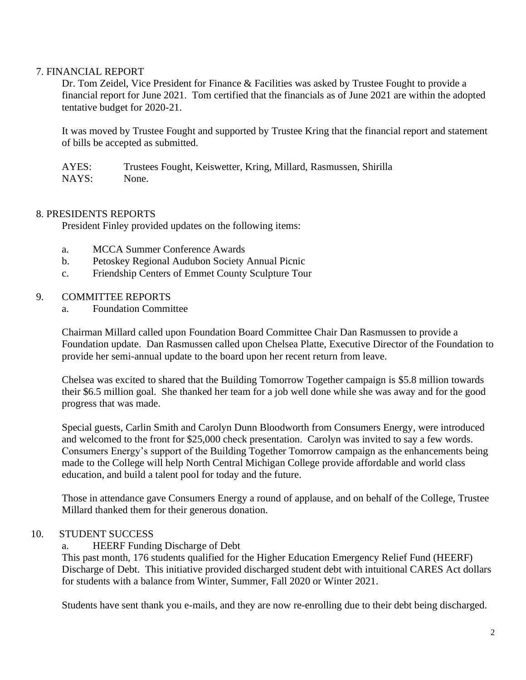# 7. FINANCIAL REPORT

Dr. Tom Zeidel, Vice President for Finance & Facilities was asked by Trustee Fought to provide a financial report for June 2021. Tom certified that the financials as of June 2021 are within the adopted tentative budget for 2020-21.

It was moved by Trustee Fought and supported by Trustee Kring that the financial report and statement of bills be accepted as submitted.

AYES: Trustees Fought, Keiswetter, Kring, Millard, Rasmussen, Shirilla NAYS: None.

## 8. PRESIDENTS REPORTS

President Finley provided updates on the following items:

- a. MCCA Summer Conference Awards
- b. Petoskey Regional Audubon Society Annual Picnic
- c. Friendship Centers of Emmet County Sculpture Tour

### 9. COMMITTEE REPORTS

a. Foundation Committee

Chairman Millard called upon Foundation Board Committee Chair Dan Rasmussen to provide a Foundation update. Dan Rasmussen called upon Chelsea Platte, Executive Director of the Foundation to provide her semi-annual update to the board upon her recent return from leave.

Chelsea was excited to shared that the Building Tomorrow Together campaign is \$5.8 million towards their \$6.5 million goal. She thanked her team for a job well done while she was away and for the good progress that was made.

Special guests, Carlin Smith and Carolyn Dunn Bloodworth from Consumers Energy, were introduced and welcomed to the front for \$25,000 check presentation. Carolyn was invited to say a few words. Consumers Energy's support of the Building Together Tomorrow campaign as the enhancements being made to the College will help North Central Michigan College provide affordable and world class education, and build a talent pool for today and the future.

Those in attendance gave Consumers Energy a round of applause, and on behalf of the College, Trustee Millard thanked them for their generous donation.

# 10. STUDENT SUCCESS

a. HEERF Funding Discharge of Debt

This past month, 176 students qualified for the Higher Education Emergency Relief Fund (HEERF) Discharge of Debt. This initiative provided discharged student debt with intuitional CARES Act dollars for students with a balance from Winter, Summer, Fall 2020 or Winter 2021.

Students have sent thank you e-mails, and they are now re-enrolling due to their debt being discharged.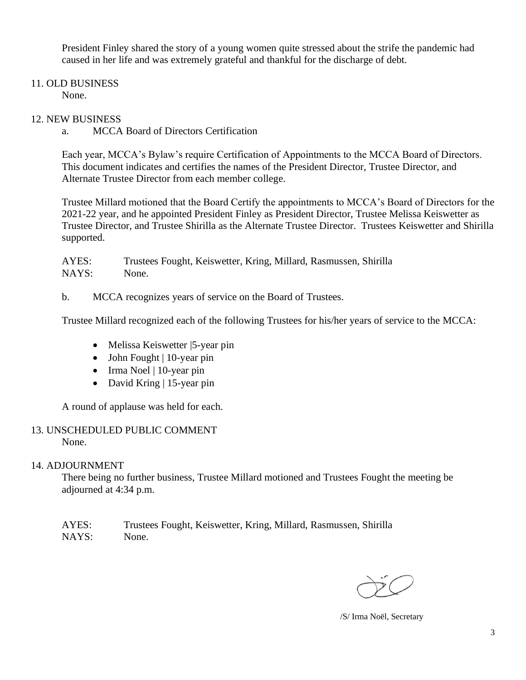President Finley shared the story of a young women quite stressed about the strife the pandemic had caused in her life and was extremely grateful and thankful for the discharge of debt.

# 11. OLD BUSINESS

None.

# 12. NEW BUSINESS

a. MCCA Board of Directors Certification

Each year, MCCA's Bylaw's require Certification of Appointments to the MCCA Board of Directors. This document indicates and certifies the names of the President Director, Trustee Director, and Alternate Trustee Director from each member college.

Trustee Millard motioned that the Board Certify the appointments to MCCA's Board of Directors for the 2021-22 year, and he appointed President Finley as President Director, Trustee Melissa Keiswetter as Trustee Director, and Trustee Shirilla as the Alternate Trustee Director. Trustees Keiswetter and Shirilla supported.

AYES: Trustees Fought, Keiswetter, Kring, Millard, Rasmussen, Shirilla NAYS: None.

b. MCCA recognizes years of service on the Board of Trustees.

Trustee Millard recognized each of the following Trustees for his/her years of service to the MCCA:

- Melissa Keiswetter | 5-year pin
- John Fought | 10-year pin
- Irma Noel | 10-year pin
- David Kring | 15-year pin

A round of applause was held for each.

#### 13. UNSCHEDULED PUBLIC COMMENT None.

## 14. ADJOURNMENT

There being no further business, Trustee Millard motioned and Trustees Fought the meeting be adjourned at 4:34 p.m.

AYES: Trustees Fought, Keiswetter, Kring, Millard, Rasmussen, Shirilla NAYS: None.

/S/ Irma Noël, Secretary